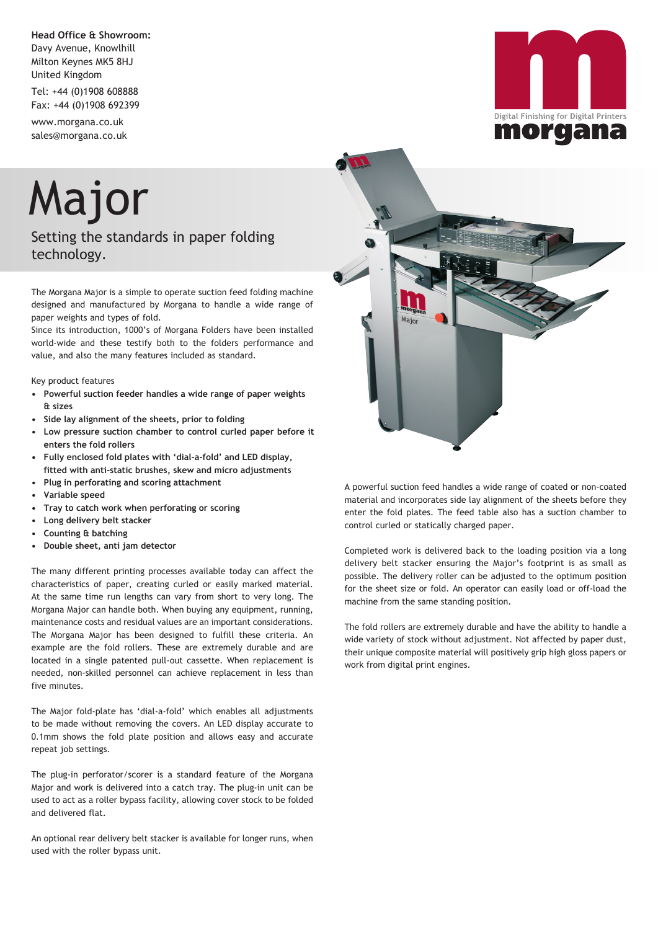**Head Office & Showroom:** Davy Avenue, Knowlhill Milton Keynes MK5 8HJ United Kingdom

Tel: +44 (0)1908 608888 Fax: +44 (0)1908 692399

www.morgana.co.uk sales@morgana.co.uk

## Major

Setting the standards in paper folding technology.

The Morgana Major is a simple to operate suction feed folding machine designed and manufactured by Morgana to handle a wide range of paper weights and types of fold.

Since its introduction, 1000's of Morgana Folders have been installed world-wide and these testify both to the folders performance and value, and also the many features included as standard.

Key product features

- **Powerful suction feeder handles a wide range of paper weights & sizes**
- **Side lay alignment of the sheets, prior to folding**
- **Low pressure suction chamber to control curled paper before it enters the fold rollers**
- **Fully enclosed fold plates with 'dial-a-fold' and LED display, fitted with anti-static brushes, skew and micro adjustments**
- **Plug in perforating and scoring attachment**
- **• Variable speed**
- **Tray to catch work when perforating or scoring**
- **• Long delivery belt stacker**
- **• Counting & batching**
- **• Double sheet, anti jam detector**

The many different printing processes available today can affect the characteristics of paper, creating curled or easily marked material. At the same time run lengths can vary from short to very long. The Morgana Major can handle both. When buying any equipment, running, maintenance costs and residual values are an important considerations. The Morgana Major has been designed to fulfill these criteria. An example are the fold rollers. These are extremely durable and are located in a single patented pull-out cassette. When replacement is needed, non-skilled personnel can achieve replacement in less than five minutes.

The Major fold-plate has 'dial-a-fold' which enables all adjustments to be made without removing the covers. An LED display accurate to 0.1mm shows the fold plate position and allows easy and accurate repeat job settings.

The plug-in perforator/scorer is a standard feature of the Morgana Major and work is delivered into a catch tray. The plug-in unit can be used to act as a roller bypass facility, allowing cover stock to be folded and delivered flat.

An optional rear delivery belt stacker is available for longer runs, when used with the roller bypass unit.



material and incorporates side lay alignment of the sheets before they enter the fold plates. The feed table also has a suction chamber to control curled or statically charged paper.

Completed work is delivered back to the loading position via a long delivery belt stacker ensuring the Major's footprint is as small as possible. The delivery roller can be adjusted to the optimum position for the sheet size or fold. An operator can easily load or off-load the machine from the same standing position.

The fold rollers are extremely durable and have the ability to handle a wide variety of stock without adjustment. Not affected by paper dust, their unique composite material will positively grip high gloss papers or work from digital print engines.